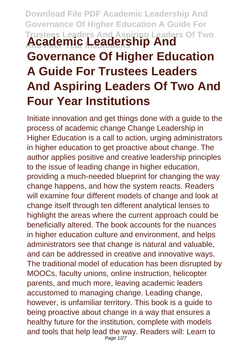## **Download File PDF Academic Leadership And Governance Of Higher Education A Guide For Trustees Leaders And Aspiring Leaders Of Two Academic Leadership And Governance Of Higher Education A Guide For Trustees Leaders And Aspiring Leaders Of Two And Four Year Institutions**

Initiate innovation and get things done with a guide to the process of academic change Change Leadership in Higher Education is a call to action, urging administrators in higher education to get proactive about change. The author applies positive and creative leadership principles to the issue of leading change in higher education, providing a much-needed blueprint for changing the way change happens, and how the system reacts. Readers will examine four different models of change and look at change itself through ten different analytical lenses to highlight the areas where the current approach could be beneficially altered. The book accounts for the nuances in higher education culture and environment, and helps administrators see that change is natural and valuable, and can be addressed in creative and innovative ways. The traditional model of education has been disrupted by MOOCs, faculty unions, online instruction, helicopter parents, and much more, leaving academic leaders accustomed to managing change. Leading change, however, is unfamiliar territory. This book is a guide to being proactive about change in a way that ensures a healthy future for the institution, complete with models and tools that help lead the way. Readers will: Learn to Page 1/27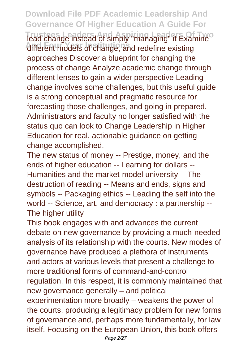**Download File PDF Academic Leadership And Governance Of Higher Education A Guide For Tead change instead of simply "managing" it Examine<sup>o</sup>** different models of change, and redefine existing approaches Discover a blueprint for changing the process of change Analyze academic change through different lenses to gain a wider perspective Leading change involves some challenges, but this useful guide is a strong conceptual and pragmatic resource for forecasting those challenges, and going in prepared. Administrators and faculty no longer satisfied with the status quo can look to Change Leadership in Higher Education for real, actionable guidance on getting change accomplished.

The new status of money -- Prestige, money, and the ends of higher education -- Learning for dollars -- Humanities and the market-model university -- The destruction of reading -- Means and ends, signs and symbols -- Packaging ethics -- Leading the self into the world -- Science, art, and democracy : a partnership -- The higher utility

This book engages with and advances the current debate on new governance by providing a much-needed analysis of its relationship with the courts. New modes of governance have produced a plethora of instruments and actors at various levels that present a challenge to more traditional forms of command-and-control regulation. In this respect, it is commonly maintained that new governance generally – and political experimentation more broadly – weakens the power of the courts, producing a legitimacy problem for new forms of governance and, perhaps more fundamentally, for law itself. Focusing on the European Union, this book offers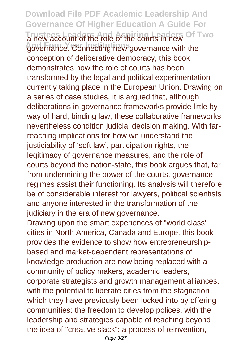**Download File PDF Academic Leadership And Governance Of Higher Education A Guide For Trustees Leaders And Aspiring Leaders Of Two** a new account of the role of the courts in new governance. Connecting new governance with the conception of deliberative democracy, this book demonstrates how the role of courts has been transformed by the legal and political experimentation currently taking place in the European Union. Drawing on a series of case studies, it is argued that, although deliberations in governance frameworks provide little by way of hard, binding law, these collaborative frameworks nevertheless condition judicial decision making. With farreaching implications for how we understand the justiciability of 'soft law', participation rights, the legitimacy of governance measures, and the role of courts beyond the nation-state, this book argues that, far from undermining the power of the courts, governance regimes assist their functioning. Its analysis will therefore be of considerable interest for lawyers, political scientists and anyone interested in the transformation of the judiciary in the era of new governance.

Drawing upon the smart experiences of "world class" cities in North America, Canada and Europe, this book provides the evidence to show how entrepreneurshipbased and market-dependent representations of knowledge production are now being replaced with a community of policy makers, academic leaders, corporate strategists and growth management alliances, with the potential to liberate cities from the stagnation which they have previously been locked into by offering communities: the freedom to develop polices, with the leadership and strategies capable of reaching beyond the idea of "creative slack"; a process of reinvention,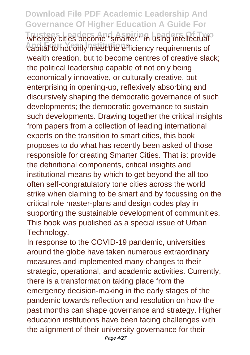**Download File PDF Academic Leadership And Governance Of Higher Education A Guide For** whereby cities become "smarter," in using intellectual<sup>o</sup> **And Four Year Institutions** capital to not only meet the efficiency requirements of wealth creation, but to become centres of creative slack; the political leadership capable of not only being economically innovative, or culturally creative, but enterprising in opening-up, reflexively absorbing and discursively shaping the democratic governance of such developments; the democratic governance to sustain such developments. Drawing together the critical insights from papers from a collection of leading international experts on the transition to smart cities, this book proposes to do what has recently been asked of those responsible for creating Smarter Cities. That is: provide the definitional components, critical insights and institutional means by which to get beyond the all too often self-congratulatory tone cities across the world strike when claiming to be smart and by focussing on the critical role master-plans and design codes play in supporting the sustainable development of communities. This book was published as a special issue of Urban Technology.

In response to the COVID-19 pandemic, universities around the globe have taken numerous extraordinary measures and implemented many changes to their strategic, operational, and academic activities. Currently, there is a transformation taking place from the emergency decision-making in the early stages of the pandemic towards reflection and resolution on how the past months can shape governance and strategy. Higher education institutions have been facing challenges with the alignment of their university governance for their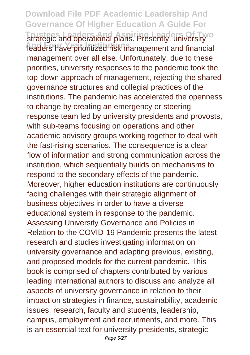**Download File PDF Academic Leadership And Governance Of Higher Education A Guide For Trustegic and operational plans. Presently, university**<sup>o</sup> leaders have prioritized risk management and financial management over all else. Unfortunately, due to these priorities, university responses to the pandemic took the top-down approach of management, rejecting the shared governance structures and collegial practices of the institutions. The pandemic has accelerated the openness to change by creating an emergency or steering response team led by university presidents and provosts, with sub-teams focusing on operations and other academic advisory groups working together to deal with the fast-rising scenarios. The consequence is a clear flow of information and strong communication across the institution, which sequentially builds on mechanisms to respond to the secondary effects of the pandemic. Moreover, higher education institutions are continuously facing challenges with their strategic alignment of business objectives in order to have a diverse educational system in response to the pandemic. Assessing University Governance and Policies in Relation to the COVID-19 Pandemic presents the latest research and studies investigating information on university governance and adapting previous, existing, and proposed models for the current pandemic. This book is comprised of chapters contributed by various leading international authors to discuss and analyze all aspects of university governance in relation to their impact on strategies in finance, sustainability, academic issues, research, faculty and students, leadership, campus, employment and recruitments, and more. This is an essential text for university presidents, strategic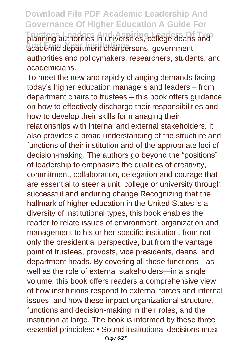**Download File PDF Academic Leadership And Governance Of Higher Education A Guide For** planning authorities in universities, college deans and **And Four Year Institutions** academic department chairpersons, government authorities and policymakers, researchers, students, and academicians.

To meet the new and rapidly changing demands facing today's higher education managers and leaders – from department chairs to trustees – this book offers guidance on how to effectively discharge their responsibilities and how to develop their skills for managing their relationships with internal and external stakeholders. It also provides a broad understanding of the structure and functions of their institution and of the appropriate loci of decision-making. The authors go beyond the "positions" of leadership to emphasize the qualities of creativity, commitment, collaboration, delegation and courage that are essential to steer a unit, college or university through successful and enduring change Recognizing that the hallmark of higher education in the United States is a diversity of institutional types, this book enables the reader to relate issues of environment, organization and management to his or her specific institution, from not only the presidential perspective, but from the vantage point of trustees, provosts, vice presidents, deans, and department heads. By covering all these functions—as well as the role of external stakeholders—in a single volume, this book offers readers a comprehensive view of how institutions respond to external forces and internal issues, and how these impact organizational structure, functions and decision-making in their roles, and the institution at large. The book is informed by these three essential principles: • Sound institutional decisions must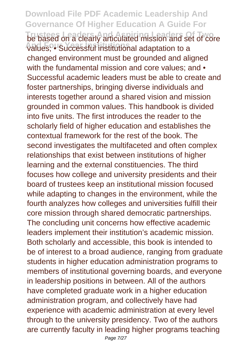**Download File PDF Academic Leadership And Governance Of Higher Education A Guide For The based on a clearly articulated mission and set of core And Four Year Institutions** values; • Successful institutional adaptation to a changed environment must be grounded and aligned with the fundamental mission and core values: and • Successful academic leaders must be able to create and foster partnerships, bringing diverse individuals and interests together around a shared vision and mission grounded in common values. This handbook is divided into five units. The first introduces the reader to the scholarly field of higher education and establishes the contextual framework for the rest of the book. The second investigates the multifaceted and often complex relationships that exist between institutions of higher learning and the external constituencies. The third focuses how college and university presidents and their board of trustees keep an institutional mission focused while adapting to changes in the environment, while the fourth analyzes how colleges and universities fulfill their core mission through shared democratic partnerships. The concluding unit concerns how effective academic leaders implement their institution's academic mission. Both scholarly and accessible, this book is intended to be of interest to a broad audience, ranging from graduate students in higher education administration programs to members of institutional governing boards, and everyone in leadership positions in between. All of the authors have completed graduate work in a higher education administration program, and collectively have had experience with academic administration at every level through to the university presidency. Two of the authors are currently faculty in leading higher programs teaching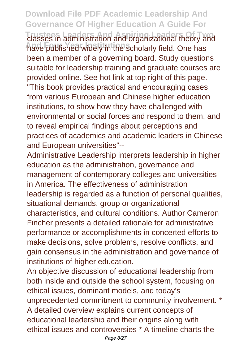**Download File PDF Academic Leadership And Governance Of Higher Education A Guide For Trustees Leaders And Aspiring Leaders Of Two** classes in administration and organizational theory and **And Four Year Institutions** have published widely in the scholarly field. One has been a member of a governing board. Study questions suitable for leadership training and graduate courses are provided online. See hot link at top right of this page. "This book provides practical and encouraging cases from various European and Chinese higher education institutions, to show how they have challenged with environmental or social forces and respond to them, and to reveal empirical findings about perceptions and practices of academics and academic leaders in Chinese and European universities"--

Administrative Leadership interprets leadership in higher education as the administration, governance and management of contemporary colleges and universities in America. The effectiveness of administration leadership is regarded as a function of personal qualities, situational demands, group or organizational characteristics, and cultural conditions. Author Cameron Fincher presents a detailed rationale for administrative performance or accomplishments in concerted efforts to make decisions, solve problems, resolve conflicts, and gain consensus in the administration and governance of institutions of higher education.

An objective discussion of educational leadership from both inside and outside the school system, focusing on ethical issues, dominant models, and today's unprecedented commitment to community involvement. \* A detailed overview explains current concepts of educational leadership and their origins along with ethical issues and controversies \* A timeline charts the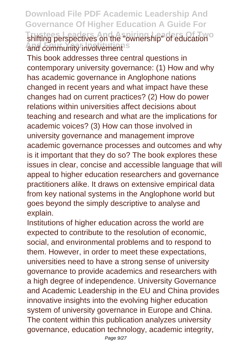**Download File PDF Academic Leadership And Governance Of Higher Education A Guide For** shifting perspectives on the "ownership" of education<sup>o</sup> and community involvement<sup>s</sup>

This book addresses three central questions in contemporary university governance: (1) How and why has academic governance in Anglophone nations changed in recent years and what impact have these changes had on current practices? (2) How do power relations within universities affect decisions about teaching and research and what are the implications for academic voices? (3) How can those involved in university governance and management improve academic governance processes and outcomes and why is it important that they do so? The book explores these issues in clear, concise and accessible language that will appeal to higher education researchers and governance practitioners alike. It draws on extensive empirical data from key national systems in the Anglophone world but goes beyond the simply descriptive to analyse and explain.

Institutions of higher education across the world are expected to contribute to the resolution of economic, social, and environmental problems and to respond to them. However, in order to meet these expectations, universities need to have a strong sense of university governance to provide academics and researchers with a high degree of independence. University Governance and Academic Leadership in the EU and China provides innovative insights into the evolving higher education system of university governance in Europe and China. The content within this publication analyzes university governance, education technology, academic integrity,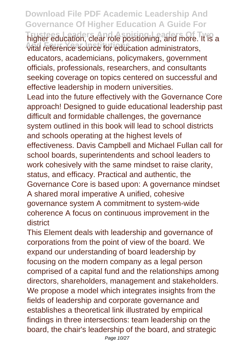**Download File PDF Academic Leadership And Governance Of Higher Education A Guide For Trustees Leaders And Aspiring Leaders Of Two** higher education, clear role positioning, and more. It is a **And Four Year Institutions** vital reference source for education administrators, educators, academicians, policymakers, government officials, professionals, researchers, and consultants seeking coverage on topics centered on successful and effective leadership in modern universities. Lead into the future effectively with the Governance Core approach! Designed to guide educational leadership past difficult and formidable challenges, the governance system outlined in this book will lead to school districts and schools operating at the highest levels of effectiveness. Davis Campbell and Michael Fullan call for school boards, superintendents and school leaders to work cohesively with the same mindset to raise clarity, status, and efficacy. Practical and authentic, the Governance Core is based upon: A governance mindset A shared moral imperative A unified, cohesive governance system A commitment to system-wide coherence A focus on continuous improvement in the district

This Element deals with leadership and governance of corporations from the point of view of the board. We expand our understanding of board leadership by focusing on the modern company as a legal person comprised of a capital fund and the relationships among directors, shareholders, management and stakeholders. We propose a model which integrates insights from the fields of leadership and corporate governance and establishes a theoretical link illustrated by empirical findings in three intersections: team leadership on the board, the chair's leadership of the board, and strategic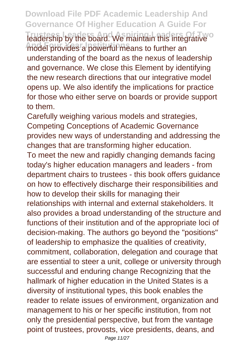**Download File PDF Academic Leadership And Governance Of Higher Education A Guide For Teadership by the board. We maintain this integrative** model provides a powerful means to further an understanding of the board as the nexus of leadership and governance. We close this Element by identifying the new research directions that our integrative model opens up. We also identify the implications for practice for those who either serve on boards or provide support to them.

Carefully weighing various models and strategies, Competing Conceptions of Academic Governance provides new ways of understanding and addressing the changes that are transforming higher education. To meet the new and rapidly changing demands facing today's higher education managers and leaders - from department chairs to trustees - this book offers guidance on how to effectively discharge their responsibilities and how to develop their skills for managing their relationships with internal and external stakeholders. It also provides a broad understanding of the structure and functions of their institution and of the appropriate loci of decision-making. The authors go beyond the "positions" of leadership to emphasize the qualities of creativity, commitment, collaboration, delegation and courage that are essential to steer a unit, college or university through successful and enduring change Recognizing that the hallmark of higher education in the United States is a diversity of institutional types, this book enables the reader to relate issues of environment, organization and management to his or her specific institution, from not only the presidential perspective, but from the vantage point of trustees, provosts, vice presidents, deans, and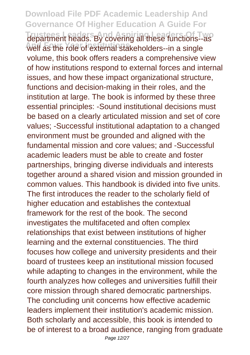**Download File PDF Academic Leadership And Governance Of Higher Education A Guide For Trustee Leaders And Aspiritual Covering all these functions--as And Four Year Institutions** well as the role of external stakeholders--in a single volume, this book offers readers a comprehensive view of how institutions respond to external forces and internal issues, and how these impact organizational structure, functions and decision-making in their roles, and the institution at large. The book is informed by these three essential principles: -Sound institutional decisions must be based on a clearly articulated mission and set of core values; -Successful institutional adaptation to a changed environment must be grounded and aligned with the fundamental mission and core values; and -Successful academic leaders must be able to create and foster partnerships, bringing diverse individuals and interests together around a shared vision and mission grounded in common values. This handbook is divided into five units. The first introduces the reader to the scholarly field of higher education and establishes the contextual framework for the rest of the book. The second investigates the multifaceted and often complex relationships that exist between institutions of higher learning and the external constituencies. The third focuses how college and university presidents and their board of trustees keep an institutional mission focused while adapting to changes in the environment, while the fourth analyzes how colleges and universities fulfill their core mission through shared democratic partnerships. The concluding unit concerns how effective academic leaders implement their institution's academic mission. Both scholarly and accessible, this book is intended to be of interest to a broad audience, ranging from graduate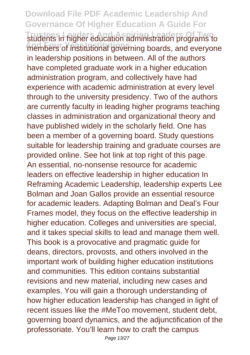**Download File PDF Academic Leadership And Governance Of Higher Education A Guide For Trustees Leaders And Aspiring Leaders Of Two** students in higher education administration programs to members of institutional governing boards, and everyone in leadership positions in between. All of the authors have completed graduate work in a higher education administration program, and collectively have had experience with academic administration at every level through to the university presidency. Two of the authors are currently faculty in leading higher programs teaching classes in administration and organizational theory and have published widely in the scholarly field. One has been a member of a governing board. Study questions suitable for leadership training and graduate courses are provided online. See hot link at top right of this page. An essential, no-nonsense resource for academic leaders on effective leadership in higher education In Reframing Academic Leadership, leadership experts Lee Bolman and Joan Gallos provide an essential resource for academic leaders. Adapting Bolman and Deal's Four Frames model, they focus on the effective leadership in higher education. Colleges and universities are special, and it takes special skills to lead and manage them well. This book is a provocative and pragmatic guide for deans, directors, provosts, and others involved in the important work of building higher education institutions and communities. This edition contains substantial revisions and new material, including new cases and examples. You will gain a thorough understanding of how higher education leadership has changed in light of recent issues like the #MeToo movement, student debt, governing board dynamics, and the adjunctification of the professoriate. You'll learn how to craft the campus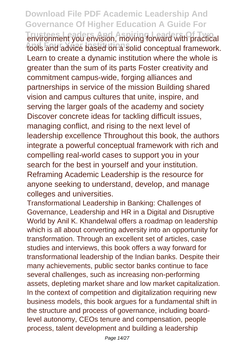**Download File PDF Academic Leadership And Governance Of Higher Education A Guide For** environment you envision, moving forward with practical **And Four Year Institutions** tools and advice based on a solid conceptual framework. Learn to create a dynamic institution where the whole is greater than the sum of its parts Foster creativity and commitment campus-wide, forging alliances and partnerships in service of the mission Building shared vision and campus cultures that unite, inspire, and serving the larger goals of the academy and society Discover concrete ideas for tackling difficult issues, managing conflict, and rising to the next level of leadership excellence Throughout this book, the authors integrate a powerful conceptual framework with rich and compelling real-world cases to support you in your search for the best in yourself and your institution. Reframing Academic Leadership is the resource for anyone seeking to understand, develop, and manage colleges and universities.

Transformational Leadership in Banking: Challenges of Governance, Leadership and HR in a Digital and Disruptive World by Anil K. Khandelwal offers a roadmap on leadership which is all about converting adversity into an opportunity for transformation. Through an excellent set of articles, case studies and interviews, this book offers a way forward for transformational leadership of the Indian banks. Despite their many achievements, public sector banks continue to face several challenges, such as increasing non-performing assets, depleting market share and low market capitalization. In the context of competition and digitalization requiring new business models, this book argues for a fundamental shift in the structure and process of governance, including boardlevel autonomy, CEOs tenure and compensation, people process, talent development and building a leadership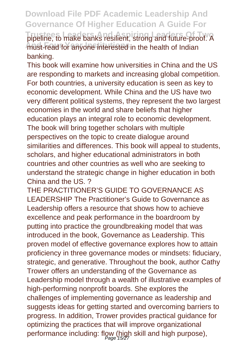**Download File PDF Academic Leadership And Governance Of Higher Education A Guide For** pipeline, to make banks resilient, strong and future-proof. A must-read for anyone interested in the health of Indian banking.

This book will examine how universities in China and the US are responding to markets and increasing global competition. For both countries, a university education is seen as key to economic development. While China and the US have two very different political systems, they represent the two largest economies in the world and share beliefs that higher education plays an integral role to economic development. The book will bring together scholars with multiple perspectives on the topic to create dialogue around similarities and differences. This book will appeal to students, scholars, and higher educational administrators in both countries and other countries as well who are seeking to understand the strategic change in higher education in both China and the US. ?

THE PRACTITIONER'S GUIDE TO GOVERNANCE AS LEADERSHIP The Practitioner's Guide to Governance as Leadership offers a resource that shows how to achieve excellence and peak performance in the boardroom by putting into practice the groundbreaking model that was introduced in the book, Governance as Leadership. This proven model of effective governance explores how to attain proficiency in three governance modes or mindsets: fiduciary, strategic, and generative. Throughout the book, author Cathy Trower offers an understanding of the Governance as Leadership model through a wealth of illustrative examples of high-performing nonprofit boards. She explores the challenges of implementing governance as leadership and suggests ideas for getting started and overcoming barriers to progress. In addition, Trower provides practical guidance for optimizing the practices that will improve organizational performance including: flow (high skill and high purpose),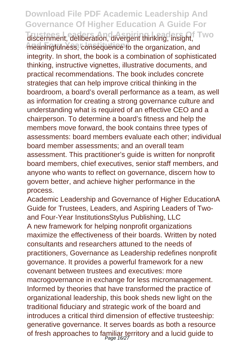## **Download File PDF Academic Leadership And Governance Of Higher Education A Guide For**

**Trusteen Manual Aspiritual Aspiritual Assembly** discernment, deliberation, divergent thinking, insight, Two meaningfulness, consequence to the organization, and integrity. In short, the book is a combination of sophisticated thinking, instructive vignettes, illustrative documents, and practical recommendations. The book includes concrete strategies that can help improve critical thinking in the boardroom, a board's overall performance as a team, as well as information for creating a strong governance culture and understanding what is required of an effective CEO and a chairperson. To determine a board's fitness and help the members move forward, the book contains three types of assessments: board members evaluate each other; individual board member assessments; and an overall team assessment. This practitioner's guide is written for nonprofit board members, chief executives, senior staff members, and anyone who wants to reflect on governance, discern how to govern better, and achieve higher performance in the process.

Academic Leadership and Governance of Higher EducationA Guide for Trustees, Leaders, and Aspiring Leaders of Twoand Four-Year InstitutionsStylus Publishing, LLC A new framework for helping nonprofit organizations maximize the effectiveness of their boards. Written by noted consultants and researchers attuned to the needs of practitioners, Governance as Leadership redefines nonprofit governance. It provides a powerful framework for a new covenant between trustees and executives: more macrogovernance in exchange for less micromanagement. Informed by theories that have transformed the practice of organizational leadership, this book sheds new light on the traditional fiduciary and strategic work of the board and introduces a critical third dimension of effective trusteeship: generative governance. It serves boards as both a resource of fresh approaches to familiar territory and a lucid guide to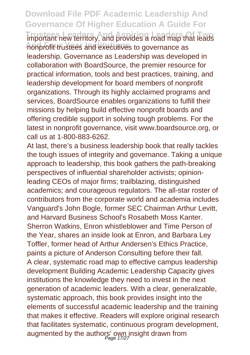**Download File PDF Academic Leadership And Governance Of Higher Education A Guide For Important new territory, and provides a road map that leads And Four Year Institutions** nonprofit trustees and executives to governance as leadership. Governance as Leadership was developed in collaboration with BoardSource, the premier resource for practical information, tools and best practices, training, and leadership development for board members of nonprofit organizations. Through its highly acclaimed programs and services, BoardSource enables organizations to fulfill their missions by helping build effective nonprofit boards and offering credible support in solving tough problems. For the latest in nonprofit governance, visit www.boardsource.org, or call us at 1-800-883-6262.

At last, there's a business leadership book that really tackles the tough issues of integrity and governance. Taking a unique approach to leadership, this book gathers the path-breaking perspectives of influential shareholder activists; opinionleading CEOs of major firms; trailblazing, distinguished academics; and courageous regulators. The all-star roster of contributors from the corporate world and academia includes Vanguard's John Bogle, former SEC Chairman Arthur Levitt, and Harvard Business School's Rosabeth Moss Kanter. Sherron Watkins, Enron whistleblower and Time Person of the Year, shares an inside look at Enron, and Barbara Ley Toffler, former head of Arthur Andersen's Ethics Practice, paints a picture of Anderson Consulting before their fall. A clear, systematic road map to effective campus leadership development Building Academic Leadership Capacity gives institutions the knowledge they need to invest in the next generation of academic leaders. With a clear, generalizable, systematic approach, this book provides insight into the elements of successful academic leadership and the training that makes it effective. Readers will explore original research that facilitates systematic, continuous program development, augmented by the authors' own insight drawn from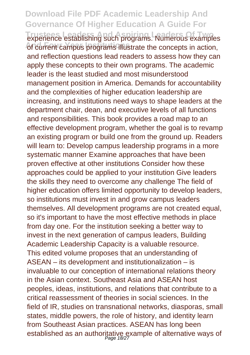**Download File PDF Academic Leadership And Governance Of Higher Education A Guide For Trustees Leaders And Aspirite Leaders And Aspirite Leaders Concrete Examples And Four Year Institutions** of current campus programs illustrate the concepts in action, and reflection questions lead readers to assess how they can apply these concepts to their own programs. The academic leader is the least studied and most misunderstood management position in America. Demands for accountability and the complexities of higher education leadership are increasing, and institutions need ways to shape leaders at the department chair, dean, and executive levels of all functions and responsibilities. This book provides a road map to an effective development program, whether the goal is to revamp an existing program or build one from the ground up. Readers will learn to: Develop campus leadership programs in a more systematic manner Examine approaches that have been proven effective at other institutions Consider how these approaches could be applied to your institution Give leaders the skills they need to overcome any challenge The field of higher education offers limited opportunity to develop leaders, so institutions must invest in and grow campus leaders themselves. All development programs are not created equal, so it's important to have the most effective methods in place from day one. For the institution seeking a better way to invest in the next generation of campus leaders, Building Academic Leadership Capacity is a valuable resource. This edited volume proposes that an understanding of ASEAN – its development and institutionalization – is invaluable to our conception of international relations theory in the Asian context. Southeast Asia and ASEAN host peoples, ideas, institutions, and relations that contribute to a critical reassessment of theories in social sciences. In the field of IR, studies on transnational networks, diasporas, small states, middle powers, the role of history, and identity learn from Southeast Asian practices. ASEAN has long been established as an authoritative example of alternative ways of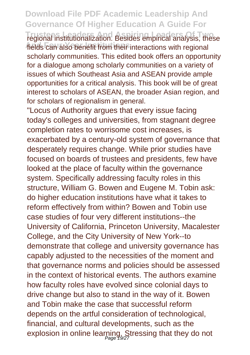## **Download File PDF Academic Leadership And Governance Of Higher Education A Guide For**

**Tregional institutionalization. Besides empirical analysis, these** fields can also benefit from their interactions with regional scholarly communities. This edited book offers an opportunity for a dialogue among scholarly communities on a variety of issues of which Southeast Asia and ASEAN provide ample opportunities for a critical analysis. This book will be of great interest to scholars of ASEAN, the broader Asian region, and for scholars of regionalism in general.

"Locus of Authority argues that every issue facing today's colleges and universities, from stagnant degree completion rates to worrisome cost increases, is exacerbated by a century-old system of governance that desperately requires change. While prior studies have focused on boards of trustees and presidents, few have looked at the place of faculty within the governance system. Specifically addressing faculty roles in this structure, William G. Bowen and Eugene M. Tobin ask: do higher education institutions have what it takes to reform effectively from within? Bowen and Tobin use case studies of four very different institutions--the University of California, Princeton University, Macalester College, and the City University of New York--to demonstrate that college and university governance has capably adjusted to the necessities of the moment and that governance norms and policies should be assessed in the context of historical events. The authors examine how faculty roles have evolved since colonial days to drive change but also to stand in the way of it. Bowen and Tobin make the case that successful reform depends on the artful consideration of technological, financial, and cultural developments, such as the explosion in online learning. Stressing that they do not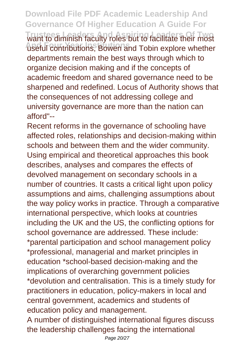**Download File PDF Academic Leadership And Governance Of Higher Education A Guide For** want to diminish faculty roles but to facilitate their most **And Four Year Institutions** useful contributions, Bowen and Tobin explore whether departments remain the best ways through which to organize decision making and if the concepts of academic freedom and shared governance need to be sharpened and redefined. Locus of Authority shows that the consequences of not addressing college and university governance are more than the nation can afford"--

Recent reforms in the governance of schooling have affected roles, relationships and decision-making within schools and between them and the wider community. Using empirical and theoretical approaches this book describes, analyses and compares the effects of devolved management on secondary schools in a number of countries. It casts a critical light upon policy assumptions and aims, challenging assumptions about the way policy works in practice. Through a comparative international perspective, which looks at countries including the UK and the US, the conflicting options for school governance are addressed. These include: \*parental participation and school management policy \*professional, managerial and market principles in education \*school-based decision-making and the implications of overarching government policies \*devolution and centralisation. This is a timely study for practitioners in education, policy-makers in local and central government, academics and students of education policy and management.

A number of distinguished international figures discuss the leadership challenges facing the international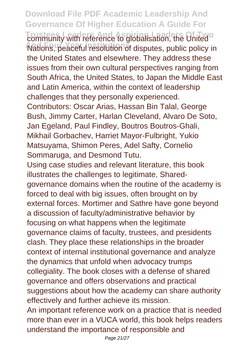**Download File PDF Academic Leadership And Governance Of Higher Education A Guide For Trustees Leaders And Aspiritualisation**, the United Nations, peaceful resolution of disputes, public policy in the United States and elsewhere. They address these issues from their own cultural perspectives ranging from South Africa, the United States, to Japan the Middle East and Latin America, within the context of leadership challenges that they personally experienced. Contributors: Oscar Arias, Hassan Bin Talal, George Bush, Jimmy Carter, Harlan Cleveland, Alvaro De Soto, Jan Egeland, Paul Findley, Boutros Boutros-Ghali, Mikhail Gorbachev, Harriet Mayor-Fulbright, Yukio Matsuyama, Shimon Peres, Adel Safty, Cornelio Sommaruga, and Desmond Tutu. Using case studies and relevant literature, this book illustrates the challenges to legitimate, Sharedgovernance domains when the routine of the academy is forced to deal with big issues, often brought on by external forces. Mortimer and Sathre have gone beyond a discussion of faculty/administrative behavior by focusing on what happens when the legitimate governance claims of faculty, trustees, and presidents

clash. They place these relationships in the broader context of internal institutional governance and analyze the dynamics that unfold when advocacy trumps collegiality. The book closes with a defense of shared governance and offers observations and practical suggestions about how the academy can share authority effectively and further achieve its mission. An important reference work on a practice that is needed

more than ever in a VUCA world, this book helps readers understand the importance of responsible and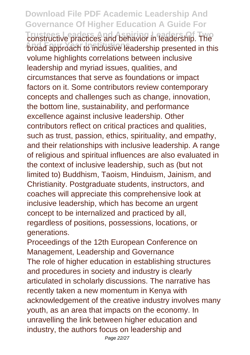**Download File PDF Academic Leadership And Governance Of Higher Education A Guide For Trustees Leaders And Aspiring Leaders Of Two** constructive practices and behavior in leadership. The **broad approach to inclusive leadership presented in this** volume highlights correlations between inclusive leadership and myriad issues, qualities, and circumstances that serve as foundations or impact factors on it. Some contributors review contemporary concepts and challenges such as change, innovation, the bottom line, sustainability, and performance excellence against inclusive leadership. Other contributors reflect on critical practices and qualities, such as trust, passion, ethics, spirituality, and empathy, and their relationships with inclusive leadership. A range of religious and spiritual influences are also evaluated in the context of inclusive leadership, such as (but not limited to) Buddhism, Taoism, Hinduism, Jainism, and Christianity. Postgraduate students, instructors, and coaches will appreciate this comprehensive look at inclusive leadership, which has become an urgent concept to be internalized and practiced by all, regardless of positions, possessions, locations, or generations.

Proceedings of the 12th European Conference on Management, Leadership and Governance The role of higher education in establishing structures and procedures in society and industry is clearly articulated in scholarly discussions. The narrative has recently taken a new momentum in Kenya with acknowledgement of the creative industry involves many youth, as an area that impacts on the economy. In unravelling the link between higher education and industry, the authors focus on leadership and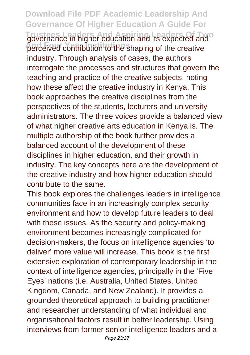**Download File PDF Academic Leadership And Governance Of Higher Education A Guide For Trustee in higher education and its expected and of** perceived contribution to the shaping of the creative industry. Through analysis of cases, the authors interrogate the processes and structures that govern the teaching and practice of the creative subjects, noting how these affect the creative industry in Kenya. This book approaches the creative disciplines from the perspectives of the students, lecturers and university administrators. The three voices provide a balanced view of what higher creative arts education in Kenya is. The multiple authorship of the book further provides a balanced account of the development of these disciplines in higher education, and their growth in industry. The key concepts here are the development of the creative industry and how higher education should contribute to the same.

This book explores the challenges leaders in intelligence communities face in an increasingly complex security environment and how to develop future leaders to deal with these issues. As the security and policy-making environment becomes increasingly complicated for decision-makers, the focus on intelligence agencies 'to deliver' more value will increase. This book is the first extensive exploration of contemporary leadership in the context of intelligence agencies, principally in the 'Five Eyes' nations (i.e. Australia, United States, United Kingdom, Canada, and New Zealand). It provides a grounded theoretical approach to building practitioner and researcher understanding of what individual and organisational factors result in better leadership. Using interviews from former senior intelligence leaders and a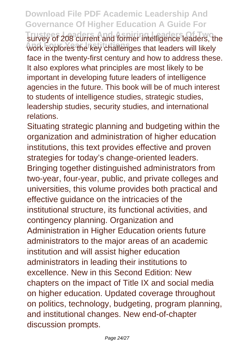**Download File PDF Academic Leadership And Governance Of Higher Education A Guide For Trustees of 208 current and former intelligence leaders, the And Four Year Institutions** work explores the key challenges that leaders will likely face in the twenty-first century and how to address these. It also explores what principles are most likely to be important in developing future leaders of intelligence agencies in the future. This book will be of much interest to students of intelligence studies, strategic studies, leadership studies, security studies, and international relations.

Situating strategic planning and budgeting within the organization and administration of higher education institutions, this text provides effective and proven strategies for today's change-oriented leaders. Bringing together distinguished administrators from two-year, four-year, public, and private colleges and universities, this volume provides both practical and effective guidance on the intricacies of the institutional structure, its functional activities, and contingency planning. Organization and Administration in Higher Education orients future administrators to the major areas of an academic institution and will assist higher education administrators in leading their institutions to excellence. New in this Second Edition: New chapters on the impact of Title IX and social media on higher education. Updated coverage throughout on politics, technology, budgeting, program planning, and institutional changes. New end-of-chapter discussion prompts.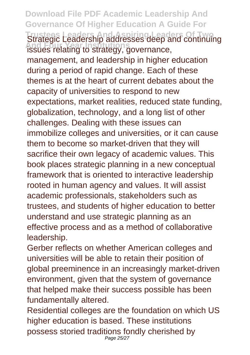**Download File PDF Academic Leadership And Governance Of Higher Education A Guide For Trustees Leaders And Aspiring Leaders Of Two** Strategic Leadership addresses deep and continuing **And Four Year Institutions** issues relating to strategy, governance, management, and leadership in higher education during a period of rapid change. Each of these themes is at the heart of current debates about the capacity of universities to respond to new expectations, market realities, reduced state funding, globalization, technology, and a long list of other challenges. Dealing with these issues can immobilize colleges and universities, or it can cause them to become so market-driven that they will sacrifice their own legacy of academic values. This book places strategic planning in a new conceptual framework that is oriented to interactive leadership rooted in human agency and values. It will assist academic professionals, stakeholders such as trustees, and students of higher education to better understand and use strategic planning as an effective process and as a method of collaborative leadership.

Gerber reflects on whether American colleges and universities will be able to retain their position of global preeminence in an increasingly market-driven environment, given that the system of governance that helped make their success possible has been fundamentally altered.

Residential colleges are the foundation on which US higher education is based. These institutions possess storied traditions fondly cherished by Page 25/27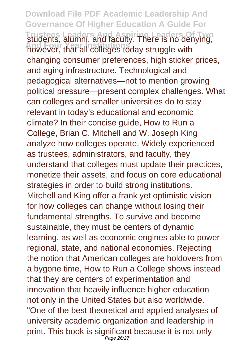**Download File PDF Academic Leadership And Governance Of Higher Education A Guide For Trustees Leaders And Aspiring Leaders Of Two** students, alumni, and faculty. There is no denying, **And Four Year Institutions** however, that all colleges today struggle with changing consumer preferences, high sticker prices, and aging infrastructure. Technological and pedagogical alternatives—not to mention growing political pressure—present complex challenges. What can colleges and smaller universities do to stay relevant in today's educational and economic climate? In their concise guide, How to Run a College, Brian C. Mitchell and W. Joseph King analyze how colleges operate. Widely experienced as trustees, administrators, and faculty, they understand that colleges must update their practices, monetize their assets, and focus on core educational strategies in order to build strong institutions. Mitchell and King offer a frank yet optimistic vision for how colleges can change without losing their fundamental strengths. To survive and become sustainable, they must be centers of dynamic learning, as well as economic engines able to power regional, state, and national economies. Rejecting the notion that American colleges are holdovers from a bygone time, How to Run a College shows instead that they are centers of experimentation and innovation that heavily influence higher education not only in the United States but also worldwide. "One of the best theoretical and applied analyses of university academic organization and leadership in print. This book is significant because it is not only Page 26/27